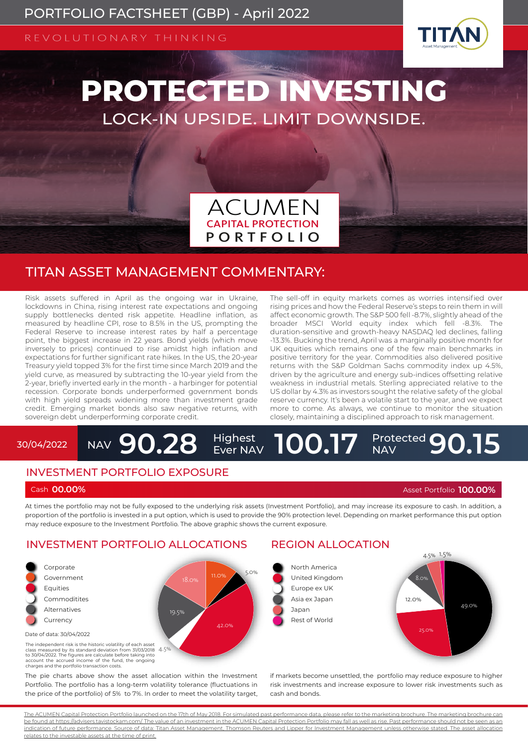REVOLUTIONARY THINKING



# **PROTECTED INVESTING** LOCK-IN UPSIDE. LIMIT DOWNSIDE.



## TITAN ASSET MANAGEMENT COMMENTARY:

Risk assets suffered in April as the ongoing war in Ukraine, lockdowns in China, rising interest rate expectations and ongoing supply bottlenecks dented risk appetite. Headline inflation, as measured by headline CPI, rose to 8.5% in the US, prompting the Federal Reserve to increase interest rates by half a percentage point, the biggest increase in 22 years. Bond yields (which move inversely to prices) continued to rise amidst high inflation and expectations for further significant rate hikes. In the US, the 20-year Treasury yield topped 3% for the first time since March 2019 and the yield curve, as measured by subtracting the 10-year yield from the 2-year, briefly inverted early in the month - a harbinger for potential recession. Corporate bonds underperformed government bonds with high yield spreads widening more than investment grade credit. Emerging market bonds also saw negative returns, with sovereign debt underperforming corporate credit.

The sell-off in equity markets comes as worries intensified over rising prices and how the Federal Reserve's steps to rein them in will affect economic growth. The S&P 500 fell -8.7%, slightly ahead of the broader MSCI World equity index which fell -8.3%. The duration-sensitive and growth-heavy NASDAQ led declines, falling -13.3%. Bucking the trend, April was a marginally positive month for UK equities which remains one of the few main benchmarks in positive territory for the year. Commodities also delivered positive returns with the S&P Goldman Sachs commodity index up 4.5%, driven by the agriculture and energy sub-indices offsetting relative weakness in industrial metals. Sterling appreciated relative to the US dollar by 4.3% as investors sought the relative safety of the global reserve currency. It's been a volatile start to the year, and we expect more to come. As always, we continue to monitor the situation closely, maintaining a disciplined approach to risk management.

#### NAV 90.28 Highest<br>Ever NAV 30/04/2022 **NAV 90.28** Highest 100.17 **Protected** 90.15

#### INVESTMENT PORTFOLIO EXPOSURE

Cash **00.00%** Asset Portfolio **100.00%**

At times the portfolio may not be fully exposed to the underlying risk assets (Investment Portfolio), and may increase its exposure to cash. In addition, a proportion of the portfolio is invested in a put option, which is used to provide the 90% protection level. Depending on market performance this put option proportion of the portfolio is invested in a pat option, which is deed to provide the sore proceedor.<br>Thay reduce exposure to the Investment Portfolio. The above graphic shows the current exposure.

#### INVESTMENT PORTFOLIO ALLOCATIONS



The pie charts above show the asset allocation within the Investment Portfolio. The portfolio has a long-term volatility tolerance (fluctuations in the price of the portfolio) of 5% to 7%. In order to meet the volatility target,

## REGION ALLOCATION

if markets become unsettled, the portfolio may reduce exposure to higher risk investments and increase exposure to lower risk investments such as cash and bonds.

The ACUMEN Capital Protection Portfolio launched on the 17th of May 2018. For simulated past performance data, please refer to the marketing brochure. The marketing brochure can be found at https://advisers.tavistockam.com/. The value of an investment in the ACUMEN Capital Protection Portfolio may fall as well as rise. Past performance should not be seen as an indication of future performance. Source of data: Titan Asset Management, Thomson Reuters and Lipper for Investment Management unless otherwise stated. The asset allocation relates to the investable assets at the time of print.